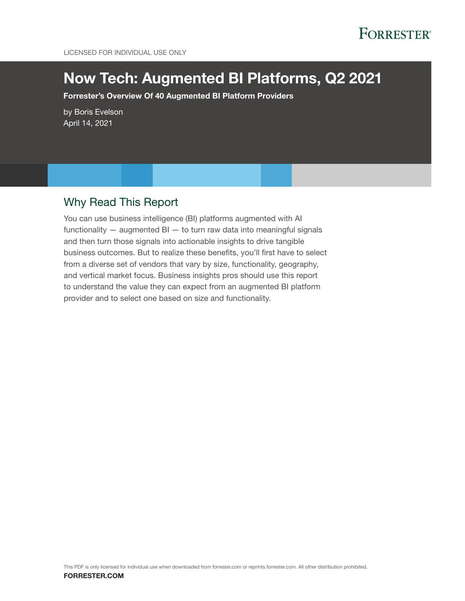# **FORRESTER®**

# Now Tech: Augmented BI Platforms, Q2 2021

Forrester's Overview Of 40 Augmented BI Platform Providers

by Boris Evelson April 14, 2021

### Why Read This Report

You can use business intelligence (BI) platforms augmented with AI functionality  $-$  augmented BI  $-$  to turn raw data into meaningful signals and then turn those signals into actionable insights to drive tangible business outcomes. But to realize these benefits, you'll first have to select from a diverse set of vendors that vary by size, functionality, geography, and vertical market focus. Business insights pros should use this report to understand the value they can expect from an augmented BI platform provider and to select one based on size and functionality.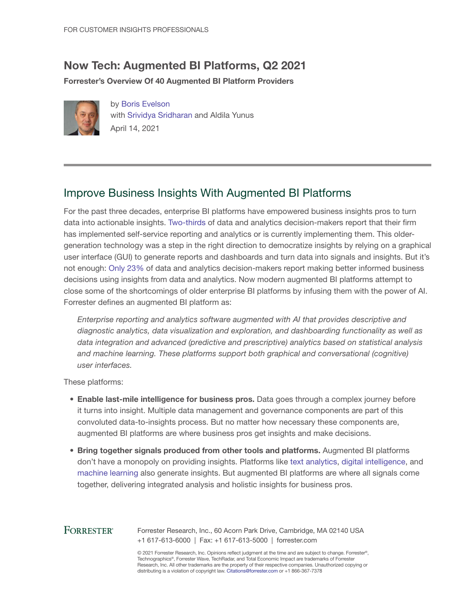### Now Tech: Augmented BI Platforms, Q2 2021

Forrester's Overview Of 40 Augmented BI Platform Providers



by [Boris Evelson](http://www.forrester.com/go?objectid=BIO1737) with [Srividya Sridharan](http://www.forrester.com/go?objectid=BIO2679) and Aldila Yunus April 14, 2021

### Improve Business Insights With Augmented BI Platforms

For the past three decades, enterprise BI platforms have empowered business insights pros to turn data into actionable insights. [Two-thirds](https://www.forrester.com/Business+Technographics+Data+And+Analytics+Survey+2020/-/E-sus5771) of data and analytics decision-makers report that their firm has implemented self-service reporting and analytics or is currently implementing them. This oldergeneration technology was a step in the right direction to democratize insights by relying on a graphical user interface (GUI) to generate reports and dashboards and turn data into signals and insights. But it's not enough: [Only 23%](https://www.forrester.com/Business+Technographics+Data+And+Analytics+Survey+2020/-/E-sus5771) of data and analytics decision-makers report making better informed business decisions using insights from data and analytics. Now modern augmented BI platforms attempt to close some of the shortcomings of older enterprise BI platforms by infusing them with the power of AI. Forrester defines an augmented BI platform as:

*Enterprise reporting and analytics software augmented with AI that provides descriptive and diagnostic analytics, data visualization and exploration, and dashboarding functionality as well as data integration and advanced (predictive and prescriptive) analytics based on statistical analysis and machine learning. These platforms support both graphical and conversational (cognitive) user interfaces.*

These platforms:

- Enable last-mile intelligence for business pros. Data goes through a complex journey before it turns into insight. Multiple data management and governance components are part of this convoluted data-to-insights process. But no matter how necessary these components are, augmented BI platforms are where business pros get insights and make decisions.
- Bring together signals produced from other tools and platforms. Augmented BI platforms don't have a monopoly on providing insights. Platforms like [text](https://www.forrester.com/go?objectid=res157263) [analytics](https://www.forrester.com/go?objectid=res159887), [digital intelligence,](https://www.forrester.com/go?objectid=res146896) and [machine](https://www.forrester.com/go?objectid=res157465) [learning](https://www.forrester.com/go?objectid=res157464) also generate insights. But augmented BI platforms are where all signals come together, delivering integrated analysis and holistic insights for business pros.

#### **FORRESTER®**

Forrester Research, Inc., 60 Acorn Park Drive, Cambridge, MA 02140 USA +1 617-613-6000 | Fax: +1 617-613-5000 | forrester.com

© 2021 Forrester Research, Inc. Opinions reflect judgment at the time and are subject to change. Forrester®, Technographics®, Forrester Wave, TechRadar, and Total Economic Impact are trademarks of Forrester Research, Inc. All other trademarks are the property of their respective companies. Unauthorized copying or distributing is a violation of copyright law. Citations@forrester.com or +1 866-367-7378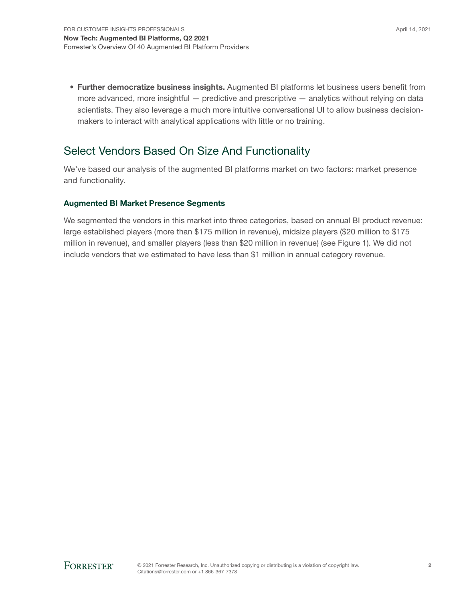• Further democratize business insights. Augmented BI platforms let business users benefit from more advanced, more insightful — predictive and prescriptive — analytics without relying on data scientists. They also leverage a much more intuitive conversational UI to allow business decisionmakers to interact with analytical applications with little or no training.

### Select Vendors Based On Size And Functionality

We've based our analysis of the augmented BI platforms market on two factors: market presence and functionality.

#### Augmented BI Market Presence Segments

We segmented the vendors in this market into three categories, based on annual BI product revenue: large established players (more than \$175 million in revenue), midsize players (\$20 million to \$175 million in revenue), and smaller players (less than \$20 million in revenue) (see Figure 1). We did not include vendors that we estimated to have less than \$1 million in annual category revenue.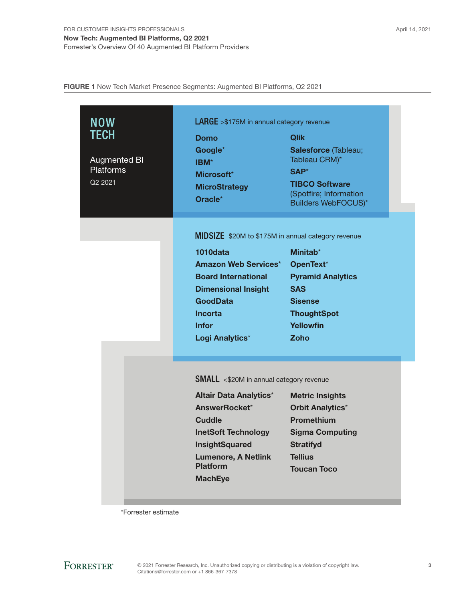FIGURE 1 Now Tech Market Presence Segments: Augmented BI Platforms, Q2 2021

| <b>NOW</b>          | <b>LARGE</b> > \$175M in annual category revenue   |                                       |  |
|---------------------|----------------------------------------------------|---------------------------------------|--|
| TECH                | <b>Domo</b>                                        | <b>Qlik</b>                           |  |
| <b>Augmented BI</b> | Google*<br>IBM*                                    | Salesforce (Tableau;<br>Tableau CRM)* |  |
| <b>Platforms</b>    | Microsoft*                                         | SAP*                                  |  |
| Q2 2021             | <b>MicroStrategy</b>                               | <b>TIBCO Software</b>                 |  |
|                     | Oracle <sup>*</sup>                                | (Spotfire; Information                |  |
|                     |                                                    | <b>Builders WebFOCUS)*</b>            |  |
|                     | MIDSIZE \$20M to \$175M in annual category revenue |                                       |  |
|                     | 1010data                                           | Minitab <sup>*</sup>                  |  |
|                     | <b>Amazon Web Services*</b>                        | OpenText*                             |  |
|                     | <b>Board International</b>                         | <b>Pyramid Analytics</b>              |  |
|                     | <b>Dimensional Insight</b>                         | <b>SAS</b>                            |  |
|                     | <b>GoodData</b>                                    | <b>Sisense</b>                        |  |
|                     | <b>Incorta</b>                                     | <b>ThoughtSpot</b>                    |  |
|                     | <b>Infor</b>                                       | <b>Yellowfin</b>                      |  |
|                     | Logi Analytics*                                    | Zoho                                  |  |
|                     |                                                    |                                       |  |
|                     | <b>SMALL</b> <\$20M in annual category revenue     |                                       |  |
|                     | <b>Altair Data Analytics*</b>                      | <b>Metric Insights</b>                |  |
|                     | AnswerRocket*                                      | <b>Orbit Analytics*</b>               |  |
|                     | <b>Cuddle</b>                                      | <b>Promethium</b>                     |  |
|                     | <b>InetSoft Technology</b>                         | <b>Sigma Computing</b>                |  |
|                     | <b>InsightSquared</b>                              | <b>Stratifyd</b>                      |  |
|                     | <b>Lumenore, A Netlink</b>                         | <b>Tellius</b>                        |  |
|                     | <b>Platform</b>                                    | <b>Toucan Toco</b>                    |  |
|                     | <b>MachEye</b>                                     |                                       |  |
|                     |                                                    |                                       |  |

\*Forrester estimate

**FORRESTER®**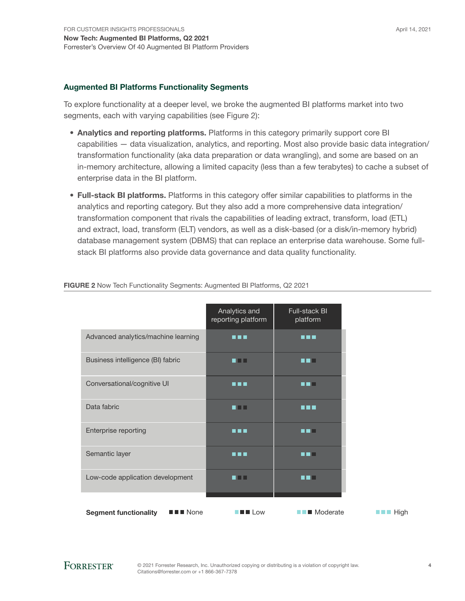#### Augmented BI Platforms Functionality Segments

To explore functionality at a deeper level, we broke the augmented BI platforms market into two segments, each with varying capabilities (see Figure 2):

- Analytics and reporting platforms. Platforms in this category primarily support core BI capabilities — data visualization, analytics, and reporting. Most also provide basic data integration/ transformation functionality (aka data preparation or data wrangling), and some are based on an in-memory architecture, allowing a limited capacity (less than a few terabytes) to cache a subset of enterprise data in the BI platform.
- Full-stack BI platforms. Platforms in this category offer similar capabilities to platforms in the analytics and reporting category. But they also add a more comprehensive data integration/ transformation component that rivals the capabilities of leading extract, transform, load (ETL) and extract, load, transform (ELT) vendors, as well as a disk-based (or a disk/in-memory hybrid) database management system (DBMS) that can replace an enterprise data warehouse. Some fullstack BI platforms also provide data governance and data quality functionality.

|                                                                    | Analytics and<br>reporting platform | <b>Full-stack BI</b><br>platform |
|--------------------------------------------------------------------|-------------------------------------|----------------------------------|
| Advanced analytics/machine learning                                |                                     | TTT                              |
| Business intelligence (BI) fabric                                  | . .                                 | . .                              |
| Conversational/cognitive UI                                        | .                                   |                                  |
| Data fabric                                                        | . .                                 | 8 N H                            |
| Enterprise reporting                                               | .                                   | a sa Bill                        |
| Semantic layer                                                     | .                                   | .                                |
| Low-code application development                                   | . .                                 | . .                              |
| $\blacksquare$ $\blacksquare$ None<br><b>Segment functionality</b> | <b>THE LOW</b>                      | $\blacksquare$ Moderate          |

#### FIGURE 2 Now Tech Functionality Segments: Augmented BI Platforms, Q2 2021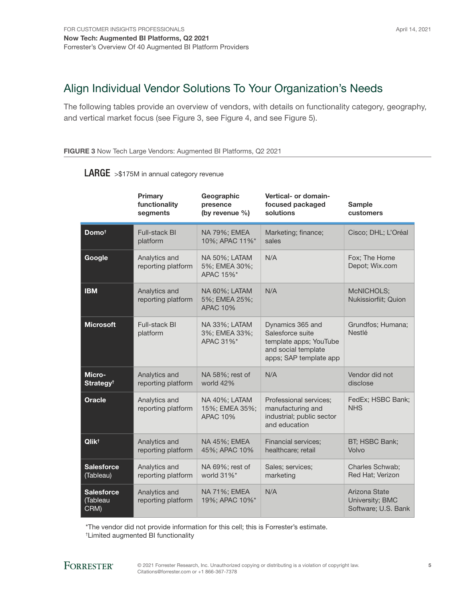## Align Individual Vendor Solutions To Your Organization's Needs

The following tables provide an overview of vendors, with details on functionality category, geography, and vertical market focus (see Figure 3, see Figure 4, and see Figure 5).

#### FIGURE 3 Now Tech Large Vendors: Augmented BI Platforms, Q2 2021

|                                      | Primary<br>functionality<br>segments | Geographic<br>presence<br>(by revenue %)           | Vertical- or domain-<br>focused packaged<br>solutions                                                           | <b>Sample</b><br>customers                              |
|--------------------------------------|--------------------------------------|----------------------------------------------------|-----------------------------------------------------------------------------------------------------------------|---------------------------------------------------------|
| Domo <sup>t</sup>                    | <b>Full-stack BI</b><br>platform     | NA 79%; EMEA<br>10%; APAC 11%*                     | Marketing; finance;<br>sales                                                                                    | Cisco; DHL; L'Oréal                                     |
| Google                               | Analytics and<br>reporting platform  | NA 50%; LATAM<br>5%; EMEA 30%;<br>APAC 15%*        | N/A                                                                                                             | Fox; The Home<br>Depot; Wix.com                         |
| <b>IBM</b>                           | Analytics and<br>reporting platform  | NA 60%; LATAM<br>5%; EMEA 25%;<br><b>APAC 10%</b>  | N/A                                                                                                             | McNICHOLS;<br>Nukissiorfiit; Quion                      |
| <b>Microsoft</b>                     | Full-stack BI<br>platform            | NA 33%; LATAM<br>3%; EMEA 33%;<br>APAC 31%*        | Dynamics 365 and<br>Salesforce suite<br>template apps; YouTube<br>and social template<br>apps; SAP template app | Grundfos; Humana;<br><b>Nestlé</b>                      |
| Micro-<br>Strategy <sup>t</sup>      | Analytics and<br>reporting platform  | NA 58%; rest of<br>world 42%                       | N/A                                                                                                             | Vendor did not<br>disclose                              |
| <b>Oracle</b>                        | Analytics and<br>reporting platform  | NA 40%; LATAM<br>15%; EMEA 35%;<br><b>APAC 10%</b> | Professional services;<br>manufacturing and<br>industrial; public sector<br>and education                       | FedEx; HSBC Bank;<br><b>NHS</b>                         |
| Qlik <sup>t</sup>                    | Analytics and<br>reporting platform  | NA 45%; EMEA<br>45%; APAC 10%                      | <b>Financial services:</b><br>healthcare; retail                                                                | BT; HSBC Bank;<br>Volvo                                 |
| <b>Salesforce</b><br>(Tableau)       | Analytics and<br>reporting platform  | NA 69%; rest of<br>world 31%*                      | Sales; services;<br>marketing                                                                                   | <b>Charles Schwab:</b><br>Red Hat; Verizon              |
| <b>Salesforce</b><br>Tableau<br>CRM) | Analytics and<br>reporting platform  | NA 71%; EMEA<br>19%; APAC 10%*                     | N/A                                                                                                             | Arizona State<br>University; BMC<br>Software; U.S. Bank |

### LARGE >\$175M in annual category revenue

\*The vendor did not provide information for this cell; this is Forrester's estimate.

† Limited augmented BI functionality

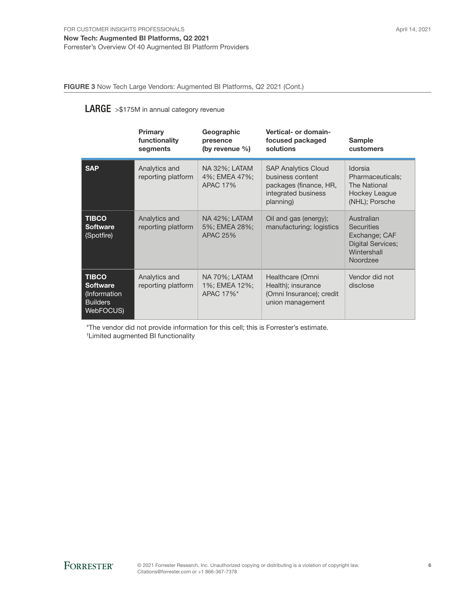FIGURE 3 Now Tech Large Vendors: Augmented BI Platforms, Q2 2021 (Cont.)

#### LARGE >\$175M in annual category revenue

|                                                                                 | Primary<br>functionality<br>segments | Geographic<br>presence<br>(by revenue $\%$ )             | Vertical- or domain-<br>focused packaged<br>solutions                                                        | <b>Sample</b><br>customers                                                                              |
|---------------------------------------------------------------------------------|--------------------------------------|----------------------------------------------------------|--------------------------------------------------------------------------------------------------------------|---------------------------------------------------------------------------------------------------------|
| <b>SAP</b>                                                                      | Analytics and<br>reporting platform  | <b>NA 32%; LATAM</b><br>4%; EMEA 47%;<br><b>APAC 17%</b> | <b>SAP Analytics Cloud</b><br>business content<br>packages (finance, HR,<br>integrated business<br>planning) | Idorsia<br>Pharmaceuticals;<br>The National<br>Hockey League<br>(NHL); Porsche                          |
| <b>TIBCO</b><br><b>Software</b><br>(Spotfire)                                   | Analytics and<br>reporting platform  | NA 42%; LATAM<br>5%; EMEA 28%;<br><b>APAC 25%</b>        | Oil and gas (energy);<br>manufacturing; logistics                                                            | Australian<br><b>Securities</b><br>Exchange; CAF<br><b>Digital Services;</b><br>Wintershall<br>Noordzee |
| <b>TIBCO</b><br><b>Software</b><br>(Information<br><b>Builders</b><br>WebFOCUS) | Analytics and<br>reporting platform  | NA 70%; LATAM<br>1%; EMEA 12%;<br>APAC 17%*              | Healthcare (Omni<br>Health); insurance<br>(Omni Insurance); credit<br>union management                       | Vendor did not<br>disclose                                                                              |

\*The vendor did not provide information for this cell; this is Forrester's estimate.

† Limited augmented BI functionality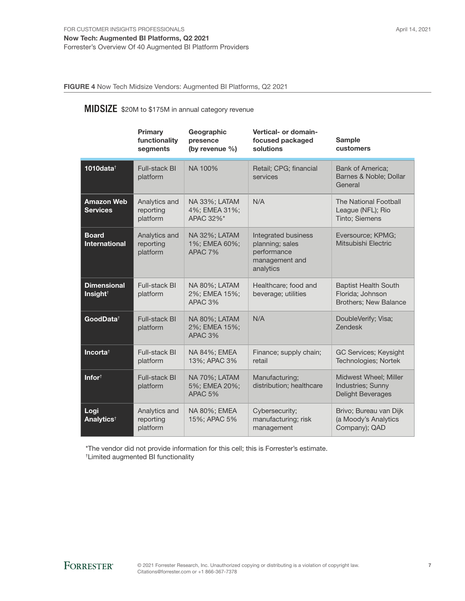FIGURE 4 Now Tech Midsize Vendors: Augmented BI Platforms, Q2 2021

### MIDSIZE \$20M to \$175M in annual category revenue

|                                            | Primary<br>functionality<br>segments   | Geographic<br>presence<br>(by revenue %)                    | Vertical- or domain-<br>focused packaged<br>solutions                                | <b>Sample</b><br>customers                                               |
|--------------------------------------------|----------------------------------------|-------------------------------------------------------------|--------------------------------------------------------------------------------------|--------------------------------------------------------------------------|
| 1010data $\dagger$                         | Full-stack BI<br>platform              | NA 100%                                                     | Retail; CPG; financial<br>services                                                   | <b>Bank of America:</b><br>Barnes & Noble; Dollar<br>General             |
| <b>Amazon Web</b><br><b>Services</b>       | Analytics and<br>reporting<br>platform | <b>NA 33%; LATAM</b><br>4%; EMEA 31%;<br>APAC 32%*          | N/A                                                                                  | The National Football<br>League (NFL); Rio<br>Tinto; Siemens             |
| <b>Board</b><br><b>International</b>       | Analytics and<br>reporting<br>platform | NA 32%; LATAM<br>1%; EMEA 60%;<br>APAC <sub>7%</sub>        | Integrated business<br>planning; sales<br>performance<br>management and<br>analytics | Eversource; KPMG;<br>Mitsubishi Electric                                 |
| <b>Dimensional</b><br>Insight <sup>†</sup> | Full-stack BI<br>platform              | NA 80%; LATAM<br>2%; EMEA 15%;<br>APAC 3%                   | Healthcare; food and<br>beverage; utilities                                          | <b>Baptist Health South</b><br>Florida; Johnson<br>Brothers; New Balance |
| GoodData <sup>†</sup>                      | <b>Full-stack BI</b><br>platform       | <b>NA 80%; LATAM</b><br>2%; EMEA 15%;<br>APAC <sub>3%</sub> | N/A                                                                                  | DoubleVerify; Visa;<br><b>Zendesk</b>                                    |
| Incorta <sup>t</sup>                       | Full-stack BI<br>platform              | NA 84%; EMEA<br>13%; APAC 3%                                | Finance; supply chain;<br>retail                                                     | GC Services; Keysight<br>Technologies; Nortek                            |
| Infor <sup>t</sup>                         | Full-stack BI<br>platform              | <b>NA 70%; LATAM</b><br>5%; EMEA 20%;<br>APAC 5%            | Manufacturing:<br>distribution; healthcare                                           | Midwest Wheel; Miller<br>Industries; Sunny<br><b>Delight Beverages</b>   |
| Logi<br><b>Analytics<sup>t</sup></b>       | Analytics and<br>reporting<br>platform | NA 80%; EMEA<br>15%; APAC 5%                                | Cybersecurity;<br>manufacturing; risk<br>management                                  | Brivo; Bureau van Dijk<br>(a Moody's Analytics<br>Company); QAD          |

\*The vendor did not provide information for this cell; this is Forrester's estimate. † Limited augmented BI functionality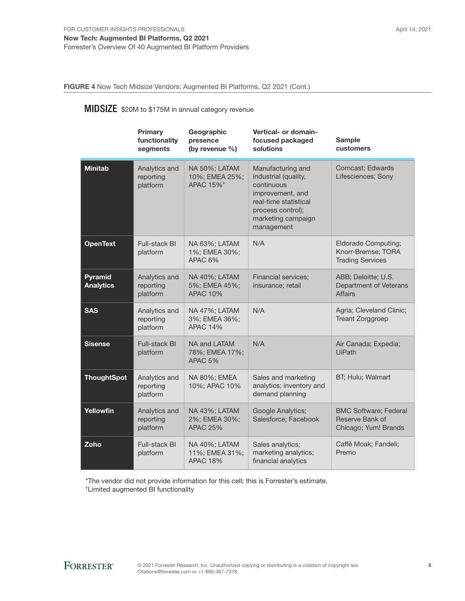FIGURE 4 Now Tech Midsize Vendors: Augmented BI Platforms, Q2 2021 (Cont.)

### MIDSIZE \$20M to \$175M in annual category revenue

|                             | Primary<br>functionality<br>segments   | Geographic<br>presence<br>(by revenue $\%$ )         | Vertical- or domain-<br>focused packaged<br>solutions                                                                                                         | <b>Sample</b><br>customers                                              |
|-----------------------------|----------------------------------------|------------------------------------------------------|---------------------------------------------------------------------------------------------------------------------------------------------------------------|-------------------------------------------------------------------------|
| <b>Minitab</b>              | Analytics and<br>reporting<br>platform | NA 50%; LATAM<br>10%; EMEA 25%;<br>APAC 15%*         | Manufacturing and<br>industrial (quality,<br>continuous<br>improvement, and<br>real-time statistical<br>process control);<br>marketing campaign<br>management | Comcast; Edwards<br>Lifesciences; Sony                                  |
| <b>OpenText</b>             | <b>Full-stack BI</b><br>platform       | NA 63%; LATAM<br>1%; EMEA 30%;<br>APAC <sub>6%</sub> | N/A                                                                                                                                                           | Eldorado Computing;<br>Knorr-Bremse; TORA<br><b>Trading Services</b>    |
| Pyramid<br><b>Analytics</b> | Analytics and<br>reporting<br>platform | NA 40%; LATAM<br>5%; EMEA 45%;<br><b>APAC 10%</b>    | <b>Financial services;</b><br>insurance; retail                                                                                                               | ABB; Deloitte; U.S.<br>Department of Veterans<br><b>Affairs</b>         |
| <b>SAS</b>                  | Analytics and<br>reporting<br>platform | NA 47%; LATAM<br>3%; EMEA 36%;<br><b>APAC 14%</b>    | N/A                                                                                                                                                           | Agria; Cleveland Clinic;<br><b>Treant Zorggroep</b>                     |
| <b>Sisense</b>              | <b>Full-stack BI</b><br>platform       | NA and LATAM<br>78%; EMEA 17%;<br>APAC <sub>5%</sub> | N/A                                                                                                                                                           | Air Canada; Expedia;<br><b>UiPath</b>                                   |
| <b>ThoughtSpot</b>          | Analytics and<br>reporting<br>platform | NA 80%; EMEA<br>10%; APAC 10%                        | Sales and marketing<br>analytics; inventory and<br>demand planning                                                                                            | BT; Hulu; Walmart                                                       |
| Yellowfin                   | Analytics and<br>reporting<br>platform | NA 43%; LATAM<br>2%; EMEA 30%;<br><b>APAC 25%</b>    | Google Analytics;<br>Salesforce; Facebook                                                                                                                     | <b>BMC Software; Federal</b><br>Reserve Bank of<br>Chicago; Yum! Brands |
| Zoho                        | Full-stack BI<br>platform              | NA 40%; LATAM<br>11%; EMEA 31%;<br><b>APAC 18%</b>   | Sales analytics;<br>marketing analytics;<br>financial analytics                                                                                               | Caffè Moak; Fandeli;<br>Premo                                           |

\*The vendor did not provide information for this cell; this is Forrester's estimate.

† Limited augmented BI functionality

8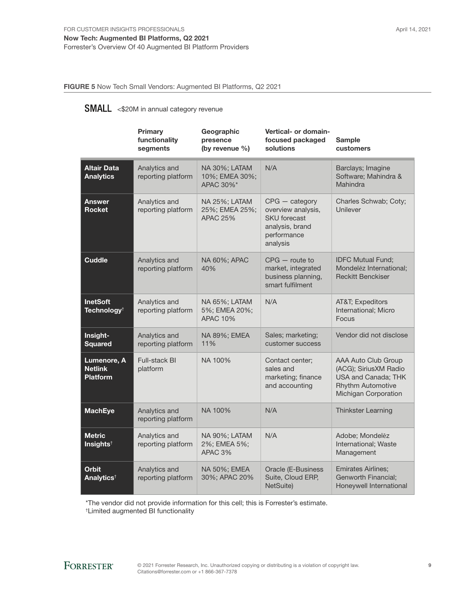Now Tech: Augmented BI Platforms, Q2 2021 Forrester's Overview Of 40 Augmented BI Platform Providers

FIGURE 5 Now Tech Small Vendors: Augmented BI Platforms, Q2 2021

### SMALL <\$20M in annual category revenue

|                                                  | <b>Primary</b><br>functionality<br>segments | Geographic<br>presence<br>(by revenue %)            | Vertical- or domain-<br>focused packaged<br>solutions                                                       | <b>Sample</b><br>customers                                                                                              |
|--------------------------------------------------|---------------------------------------------|-----------------------------------------------------|-------------------------------------------------------------------------------------------------------------|-------------------------------------------------------------------------------------------------------------------------|
| <b>Altair Data</b><br><b>Analytics</b>           | Analytics and<br>reporting platform         | NA 30%; LATAM<br>10%; EMEA 30%;<br>APAC 30%*        | N/A                                                                                                         | Barclays; Imagine<br>Software; Mahindra &<br>Mahindra                                                                   |
| <b>Answer</b><br><b>Rocket</b>                   | Analytics and<br>reporting platform         | NA 25%; LATAM<br>25%; EMEA 25%;<br><b>APAC 25%</b>  | $CPG$ - category<br>overview analysis,<br><b>SKU</b> forecast<br>analysis, brand<br>performance<br>analysis | Charles Schwab; Coty;<br>Unilever                                                                                       |
| <b>Cuddle</b>                                    | Analytics and<br>reporting platform         | NA 60%; APAC<br>40%                                 | $CPG -$ route to<br>market, integrated<br>business planning,<br>smart fulfilment                            | <b>IDFC Mutual Fund;</b><br>Mondelez International;<br><b>Reckitt Benckiser</b>                                         |
| <b>InetSoft</b><br>Technology <sup>†</sup>       | Analytics and<br>reporting platform         | NA 65%; LATAM<br>5%; EMEA 20%;<br><b>APAC 10%</b>   | N/A                                                                                                         | AT&T Expeditors<br>International; Micro<br>Focus                                                                        |
| Insight-<br><b>Squared</b>                       | Analytics and<br>reporting platform         | NA 89%; EMEA<br>11%                                 | Sales; marketing;<br>customer success                                                                       | Vendor did not disclose                                                                                                 |
| Lumenore, A<br><b>Netlink</b><br><b>Platform</b> | <b>Full-stack BI</b><br>platform            | NA 100%                                             | Contact center:<br>sales and<br>marketing; finance<br>and accounting                                        | AAA Auto Club Group<br>(ACG); SiriusXM Radio<br>USA and Canada; THK<br><b>Rhythm Automotive</b><br>Michigan Corporation |
| <b>MachEye</b>                                   | Analytics and<br>reporting platform         | NA 100%                                             | N/A                                                                                                         | <b>Thinkster Learning</b>                                                                                               |
| <b>Metric</b><br>Insights <sup>t</sup>           | Analytics and<br>reporting platform         | NA 90%; LATAM<br>2%; EMEA 5%;<br>APAC <sub>3%</sub> | N/A                                                                                                         | Adobe; Mondelez<br>International; Waste<br>Management                                                                   |
| <b>Orbit</b><br>Analytics <sup>t</sup>           | Analytics and<br>reporting platform         | NA 50%; EMEA<br>30%; APAC 20%                       | Oracle (E-Business<br>Suite, Cloud ERP,<br>NetSuite)                                                        | <b>Emirates Airlines:</b><br>Genworth Financial;<br>Honeywell International                                             |

\*The vendor did not provide information for this cell; this is Forrester's estimate.

† Limited augmented BI functionality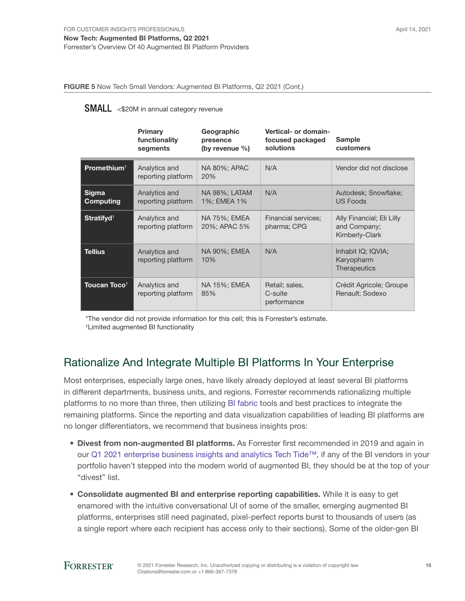#### Forrester's Overview Of 40 Augmented BI Platform Providers

FIGURE 5 Now Tech Small Vendors: Augmented BI Platforms, Q2 2021 (Cont.)

#### **SMALL** <\$20M in annual category revenue

|                          | Primary<br>functionality<br>segments | Geographic<br>presence<br>(by revenue $\%$ ) | Vertical- or domain-<br>focused packaged<br>solutions | <b>Sample</b><br>customers                                  |
|--------------------------|--------------------------------------|----------------------------------------------|-------------------------------------------------------|-------------------------------------------------------------|
| Promethium <sup>+</sup>  | Analytics and<br>reporting platform  | NA 80%; APAC<br>20%                          | N/A                                                   | Vendor did not disclose                                     |
| Sigma<br>Computing       | Analytics and<br>reporting platform  | NA 98%; LATAM<br>1%; EMEA 1%                 | N/A                                                   | Autodesk; Snowflake;<br><b>US Foods</b>                     |
| Stratifyd <sup>+</sup>   | Analytics and<br>reporting platform  | NA 75%; EMEA<br>20%; APAC 5%                 | <b>Financial services;</b><br>pharma; CPG             | Ally Financial; Eli Lilly<br>and Company;<br>Kimberly-Clark |
| Tellius                  | Analytics and<br>reporting platform  | NA 90%; EMEA<br>10%                          | N/A                                                   | Inhabit IQ; IQVIA;<br>Karyopharm<br><b>Therapeutics</b>     |
| Toucan Toco <sup>†</sup> | Analytics and<br>reporting platform  | NA 15%; EMEA<br>85%                          | Retail; sales,<br>C-suite<br>performance              | Crédit Agricole; Groupe<br>Renault; Sodexo                  |

\*The vendor did not provide information for this cell; this is Forrester's estimate. † Limited augmented BI functionality

### Rationalize And Integrate Multiple BI Platforms In Your Enterprise

Most enterprises, especially large ones, have likely already deployed at least several BI platforms in different departments, business units, and regions. Forrester recommends rationalizing multiple platforms to no more than three, then utilizing [BI fabric](https://www.forrester.com/go?objectid=res138551) tools and best practices to integrate the remaining platforms. Since the reporting and data visualization capabilities of leading BI platforms are no longer differentiators, we recommend that business insights pros:

- Divest from non-augmented BI platforms. As Forrester first recommended in 2019 and again in our [Q1 2021 enterprise business insights and analytics Tech Tide™,](https://www.forrester.com/go?objectid=res161999) if any of the BI vendors in your portfolio haven't stepped into the modern world of augmented BI, they should be at the top of your "divest" list.
- Consolidate augmented BI and enterprise reporting capabilities. While it is easy to get enamored with the intuitive conversational UI of some of the smaller, emerging augmented BI platforms, enterprises still need paginated, pixel-perfect reports burst to thousands of users (as a single report where each recipient has access only to their sections). Some of the older-gen BI

### **FORRESTER®**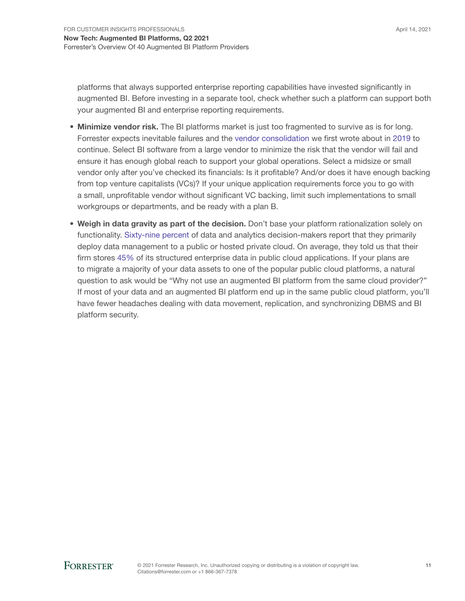platforms that always supported enterprise reporting capabilities have invested significantly in augmented BI. Before investing in a separate tool, check whether such a platform can support both your augmented BI and enterprise reporting requirements.

- Minimize vendor risk. The BI platforms market is just too fragmented to survive as is for long. Forrester expects inevitable failures and the [vendor consolidation](https://www.forrester.com/go?objectid=res156897) we first wrote about in [2019](https://go.forrester.com/blogs/business-intelligence-bi-market-consolidation-what-to-expect-next/) to continue. Select BI software from a large vendor to minimize the risk that the vendor will fail and ensure it has enough global reach to support your global operations. Select a midsize or small vendor only after you've checked its financials: Is it profitable? And/or does it have enough backing from top venture capitalists (VCs)? If your unique application requirements force you to go with a small, unprofitable vendor without significant VC backing, limit such implementations to small workgroups or departments, and be ready with a plan B.
- Weigh in data gravity as part of the decision. Don't base your platform rationalization solely on functionality. [Sixty-nine percent](https://www.forrester.com/Business+Technographics+Data+And+Analytics+Survey+2020/-/E-sus5771) of data and analytics decision-makers report that they primarily deploy data management to a public or hosted private cloud. On average, they told us that their firm stores [45%](https://www.forrester.com/Global+Business+Technographics+Data+And+Analytics+Survey+2019/-/E-sus5171) of its structured enterprise data in public cloud applications. If your plans are to migrate a majority of your data assets to one of the popular public cloud platforms, a natural question to ask would be "Why not use an augmented BI platform from the same cloud provider?" If most of your data and an augmented BI platform end up in the same public cloud platform, you'll have fewer headaches dealing with data movement, replication, and synchronizing DBMS and BI platform security.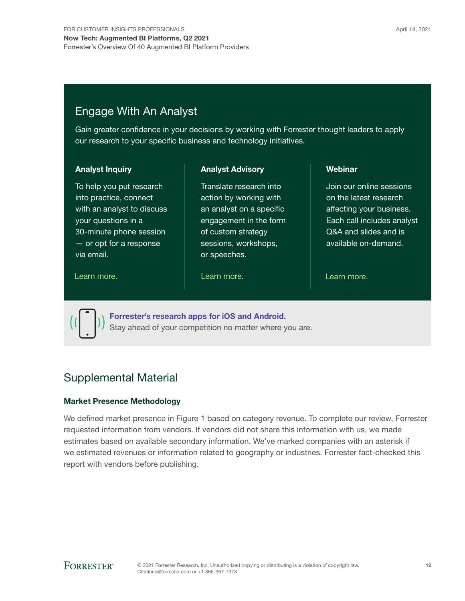### Engage With An Analyst

Gain greater confidence in your decisions by working with Forrester thought leaders to apply our research to your specific business and technology initiatives.

#### Analyst Inquiry

To help you put research into practice, connect with an analyst to discuss your questions in a 30-minute phone session — or opt for a response via email.

Analyst Advisory

Translate research into action by working with an analyst on a specific engagement in the form of custom strategy sessions, workshops, or speeches.

#### [Learn more.](https://www.forrester.com/events?N=10006+5025) The contract the learn more. The contract the learn more.

Webinar

Join our online sessions on the latest research affecting your business. Each call includes analyst Q&A and slides and is available on-demand.



[Forrester's research apps for iOS and Android.](http://www.forrester.com/app) Stay ahead of your competition no matter where you are.

### Supplemental Material

#### Market Presence Methodology

We defined market presence in Figure 1 based on category revenue. To complete our review, Forrester requested information from vendors. If vendors did not share this information with us, we made estimates based on available secondary information. We've marked companies with an asterisk if we estimated revenues or information related to geography or industries. Forrester fact-checked this report with vendors before publishing.